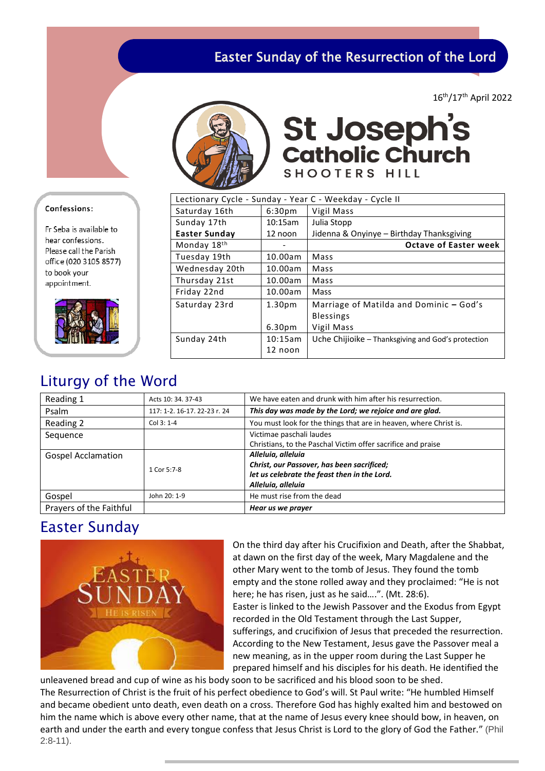# Easter Sunday of the Resurrection of the Lord

16th/17th April 2022



**St Joseph's<br>Catholic Church** SHOOTERS HILL

| Lectionary Cycle - Sunday - Year C - Weekday - Cycle II |                    |                                                    |  |  |
|---------------------------------------------------------|--------------------|----------------------------------------------------|--|--|
| Saturday 16th                                           | 6:30 <sub>pm</sub> | Vigil Mass                                         |  |  |
| Sunday 17th                                             | 10:15am            | Julia Stopp                                        |  |  |
| <b>Easter Sunday</b>                                    | 12 noon            | Jidenna & Onyinye - Birthday Thanksgiving          |  |  |
| Monday 18th                                             |                    | <b>Octave of Easter week</b>                       |  |  |
| Tuesday 19th                                            | 10.00am            | Mass                                               |  |  |
| Wednesday 20th                                          | 10.00am            | Mass                                               |  |  |
| Thursday 21st                                           | 10.00am            | Mass                                               |  |  |
| Friday 22nd                                             | 10.00am            | Mass                                               |  |  |
| Saturday 23rd                                           | 1.30 <sub>pm</sub> | Marriage of Matilda and Dominic - God's            |  |  |
|                                                         |                    | <b>Blessings</b>                                   |  |  |
|                                                         | 6.30 <sub>pm</sub> | Vigil Mass                                         |  |  |
| Sunday 24th                                             | 10:15am            | Uche Chijioike – Thanksgiving and God's protection |  |  |
|                                                         | 12 noon            |                                                    |  |  |

# Liturgy of the Word

| Reading 1                 | Acts 10: 34, 37-43           | We have eaten and drunk with him after his resurrection.          |  |
|---------------------------|------------------------------|-------------------------------------------------------------------|--|
| Psalm                     | 117: 1-2. 16-17. 22-23 r. 24 | This day was made by the Lord; we rejoice and are glad.           |  |
| Reading 2                 | Col 3: 1-4                   | You must look for the things that are in heaven, where Christ is. |  |
| Sequence                  |                              | Victimae paschali laudes                                          |  |
|                           |                              | Christians, to the Paschal Victim offer sacrifice and praise      |  |
| <b>Gospel Acclamation</b> |                              | Alleluia, alleluia                                                |  |
|                           | 1 Cor 5:7-8                  | Christ, our Passover, has been sacrificed;                        |  |
|                           |                              | let us celebrate the feast then in the Lord.                      |  |
|                           |                              | Alleluia, alleluia                                                |  |
| Gospel                    | John 20: 1-9                 | He must rise from the dead                                        |  |
| Prayers of the Faithful   |                              | Hear us we prayer                                                 |  |

### Easter Sunday



On the third day after his Crucifixion and Death, after the Shabbat, at dawn on the first day of the week, Mary Magdalene and the other Mary went to the tomb of Jesus. They found the tomb empty and the stone rolled away and they proclaimed: "He is not here; he has risen, just as he said….". (Mt. 28:6). Easter is linked to the Jewish Passover and the Exodus from Egypt recorded in the Old Testament through the Last Supper, sufferings, and crucifixion of Jesus that preceded the resurrection. According to the New Testament, Jesus gave the Passover meal a new meaning, as in the upper room during the Last Supper he prepared himself and his disciples for his death. He identified the

unleavened bread and cup of wine as his body soon to be sacrificed and his blood soon to be shed. The Resurrection of Christ is the fruit of his perfect obedience to God's will. St Paul write: "He humbled Himself and became obedient unto death, even death on a cross. Therefore God has highly exalted him and bestowed on him the name which is above every other name, that at the name of Jesus every knee should bow, in heaven, on earth and under the earth and every tongue confess that Jesus Christ is Lord to the glory of God the Father." (Phil 2:8-11).

### Confessions:

Fr Seba is available to hear confessions Please call the Parish office (020 3105 8577) to book your appointment.

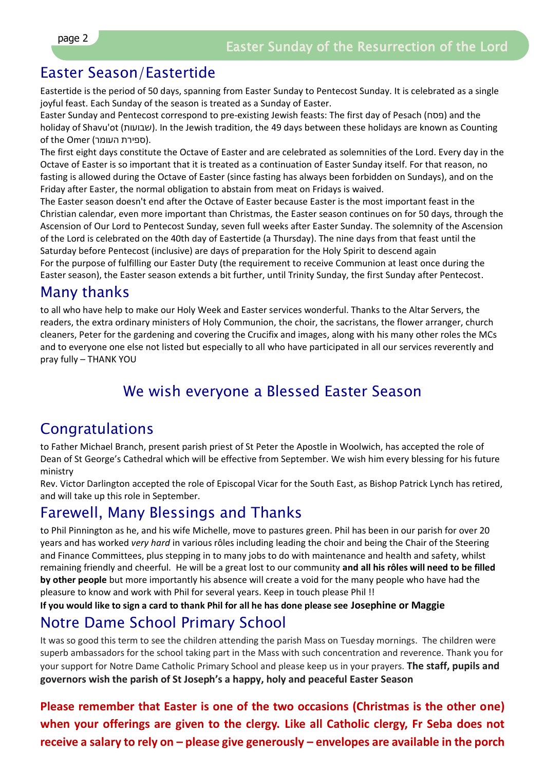### Easter Season/Eastertide

Eastertide is the period of 50 days, spanning from Easter Sunday to Pentecost Sunday. It is celebrated as a single joyful feast. Each Sunday of the season is treated as a Sunday of Easter.

Easter Sunday and Pentecost correspond to pre-existing Jewish feasts: The first day of Pesach (פסח) and the holiday of Shavu'ot (שבועות). In the Jewish tradition, the 49 days between these holidays are known as Counting of the Omer (ספירת העומר).

The first eight days constitute the Octave of Easter and are celebrated as solemnities of the Lord. Every day in the Octave of Easter is so important that it is treated as a continuation of Easter Sunday itself. For that reason, no fasting is allowed during the Octave of Easter (since fasting has always been forbidden on Sundays), and on the Friday after Easter, the normal obligation to abstain from meat on Fridays is waived.

The Easter season doesn't end after the Octave of Easter because Easter is the most important feast in the Christian calendar, even more important than Christmas, the Easter season continues on for 50 days, through the Ascension of Our Lord to Pentecost Sunday, seven full weeks after Easter Sunday. The solemnity of the Ascension of the Lord is celebrated on the 40th day of Eastertide (a Thursday). The nine days from that feast until the Saturday before Pentecost (inclusive) are days of preparation for the Holy Spirit to descend again For the purpose of fulfilling our Easter Duty (the requirement to receive Communion at least once during the Easter season), the Easter season extends a bit further, until Trinity Sunday, the first Sunday after Pentecost.

### Many thanks

to all who have help to make our Holy Week and Easter services wonderful. Thanks to the Altar Servers, the readers, the extra ordinary ministers of Holy Communion, the choir, the sacristans, the flower arranger, church cleaners, Peter for the gardening and covering the Crucifix and images, along with his many other roles the MCs and to everyone one else not listed but especially to all who have participated in all our services reverently and pray fully – THANK YOU

# We wish everyone a Blessed Easter Season

# Congratulations

to Father Michael Branch, present parish priest of St Peter the Apostle in Woolwich, has accepted the role of Dean of St George's Cathedral which will be effective from September. We wish him every blessing for his future ministry

Rev. Victor Darlington accepted the role of Episcopal Vicar for the South East, as Bishop Patrick Lynch has retired, and will take up this role in September.

### Farewell, Many Blessings and Thanks

to Phil Pinnington as he, and his wife Michelle, move to pastures green. Phil has been in our parish for over 20 years and has worked *very hard* in various rôles including leading the choir and being the Chair of the Steering and Finance Committees, plus stepping in to many jobs to do with maintenance and health and safety, whilst remaining friendly and cheerful. He will be a great lost to our community **and all his rôles will need to be filled by other people** but more importantly his absence will create a void for the many people who have had the pleasure to know and work with Phil for several years. Keep in touch please Phil !!

**If you would like to sign a card to thank Phil for all he has done please see Josephine or Maggie**

# Notre Dame School Primary School

It was so good this term to see the children attending the parish Mass on Tuesday mornings. The children were superb ambassadors for the school taking part in the Mass with such concentration and reverence. Thank you for your support for Notre Dame Catholic Primary School and please keep us in your prayers. **The staff, pupils and governors wish the parish of St Joseph's a happy, holy and peaceful Easter Season**

**Please remember that Easter is one of the two occasions (Christmas is the other one) when your offerings are given to the clergy. Like all Catholic clergy, Fr Seba does not receive a salary to rely on – please give generously – envelopes are available in the porch**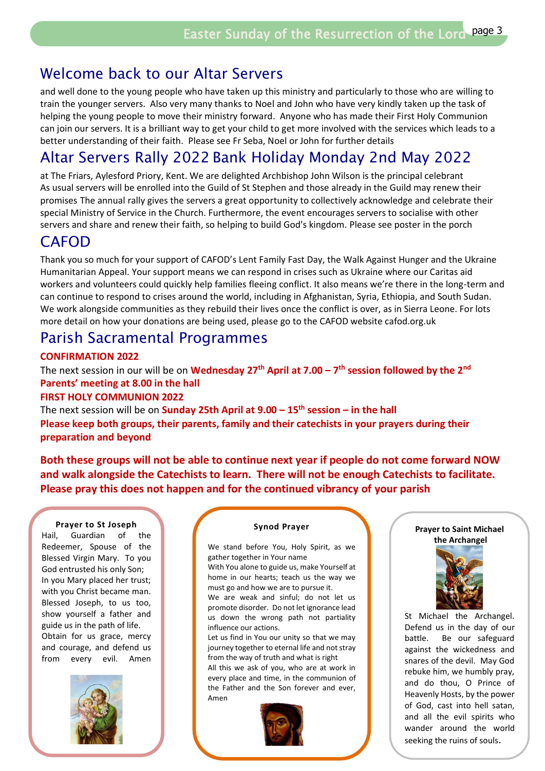# Welcome back to our Altar Servers

and well done to the young people who have taken up this ministry and particularly to those who are willing to train the younger servers. Also very many thanks to Noel and John who have very kindly taken up the task of helping the young people to move their ministry forward. Anyone who has made their First Holy Communion can join our servers. It is a brilliant way to get your child to get more involved with the services which leads to a better understanding of their faith. Please see Fr Seba, Noel or John for further details

# Altar Servers Rally 2022 Bank Holiday Monday 2nd May 2022

at The Friars, Aylesford Priory, Kent. We are delighted Archbishop John Wilson is the principal celebrant As usual servers will be enrolled into the Guild of St Stephen and those already in the Guild may renew their promises The annual rally gives the servers a great opportunity to collectively acknowledge and celebrate their special Ministry of Service in the Church. Furthermore, the event encourages servers to socialise with other servers and share and renew their faith, so helping to build God's kingdom. Please see poster in the porch

# CAFOD

Thank you so much for your support of CAFOD's Lent Family Fast Day, the Walk Against Hunger and the Ukraine Humanitarian Appeal. Your support means we can respond in crises such as Ukraine where our Caritas aid workers and volunteers could quickly help families fleeing conflict. It also means we're there in the long-term and can continue to respond to crises around the world, including in Afghanistan, Syria, Ethiopia, and South Sudan. We work alongside communities as they rebuild their lives once the conflict is over, as in Sierra Leone. For lots more detail on how your donations are being used, please go to the CAFOD website cafod.org.uk

# Parish Sacramental Programmes

### **CONFIRMATION 2022**

The next session in our will be on **Wednesday 27th April at 7.00 – 7 th session followed by the 2nd Parents' meeting at 8.00 in the hall**

### **FIRST HOLY COMMUNION 2022**

The next session will be on **Sunday 25th April at 9.00 – 15th session – in the hall Please keep both groups, their parents, family and their catechists in your prayers during their preparation and beyond**

**Both these groups will not be able to continue next year if people do not come forward NOW and walk alongside the Catechists to learn. There will not be enough Catechists to facilitate. Please pray this does not happen and for the continued vibrancy of your parish** 

### **Prayer to St Joseph**

Hail, Guardian of the Redeemer, Spouse of the Blessed Virgin Mary. To you God entrusted his only Son; In you Mary placed her trust; with you Christ became man. Blessed Joseph, to us too, show yourself a father and guide us in the path of life. Obtain for us grace, mercy and courage, and defend us from every evil. Amen



#### **Synod Prayer**

We stand before You, Holy Spirit, as we gather together in Your name

With You alone to guide us, make Yourself at home in our hearts; teach us the way we must go and how we are to pursue it.

We are weak and sinful; do not let us promote disorder. Do not let ignorance lead us down the wrong path not partiality influence our actions.

Let us find in You our unity so that we may journey together to eternal life and not stray from the way of truth and what is right

All this we ask of you, who are at work in every place and time, in the communion of the Father and the Son forever and ever, Amen



#### **Prayer to Saint Michael the Archangel**



St Michael the Archangel. Defend us in the day of our battle. Be our safeguard against the wickedness and snares of the devil. May God rebuke him, we humbly pray, and do thou, O Prince of Heavenly Hosts, by the power of God, cast into hell satan, and all the evil spirits who wander around the world seeking the ruins of souls.